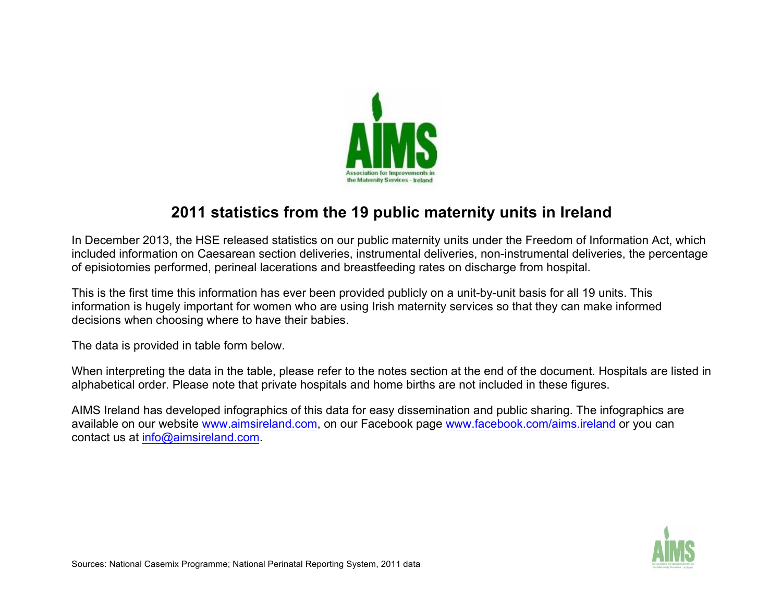

## **2011 statistics from the 19 public maternity units in Ireland**

In December 2013, the HSE released statistics on our public maternity units under the Freedom of Information Act, which included information on Caesarean section deliveries, instrumental deliveries, non-instrumental deliveries, the percentage of episiotomies performed, perineal lacerations and breastfeeding rates on discharge from hospital.

This is the first time this information has ever been provided publicly on a unit-by-unit basis for all 19 units. This information is hugely important for women who are using Irish maternity services so that they can make informed decisions when choosing where to have their babies.

The data is provided in table form below.

When interpreting the data in the table, please refer to the notes section at the end of the document. Hospitals are listed in alphabetical order. Please note that private hospitals and home births are not included in these figures.

AIMS Ireland has developed infographics of this data for easy dissemination and public sharing. The infographics are available on our website www.aimsireland.com, on our Facebook page www.facebook.com/aims.ireland or you can contact us at info@aimsireland.com.

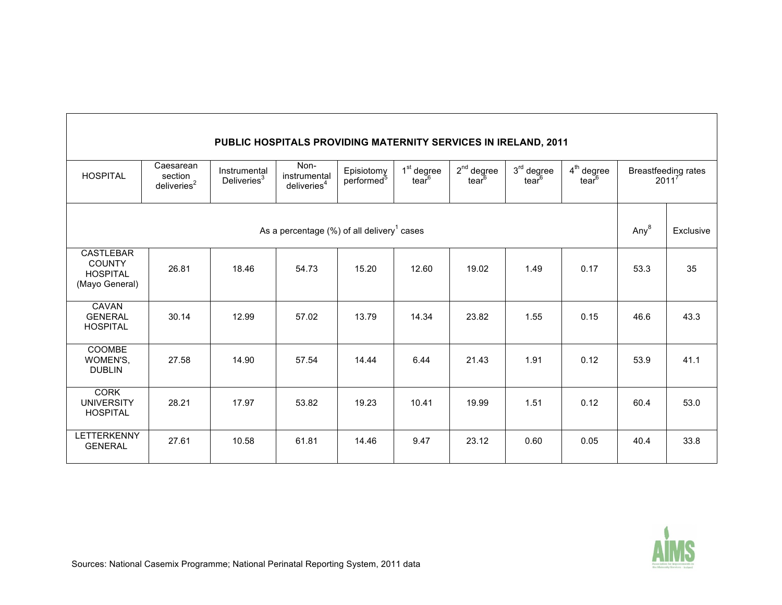| PUBLIC HOSPITALS PROVIDING MATERNITY SERVICES IN IRELAND, 2011         |                                             |                                         |                                                 |                                      |                                             |                         |                                 |                                   |                                   |           |
|------------------------------------------------------------------------|---------------------------------------------|-----------------------------------------|-------------------------------------------------|--------------------------------------|---------------------------------------------|-------------------------|---------------------------------|-----------------------------------|-----------------------------------|-----------|
| <b>HOSPITAL</b>                                                        | Caesarean<br>section<br>deliveries ${}^{2}$ | Instrumental<br>Deliveries <sup>3</sup> | Non-<br>instrumental<br>deliveries <sup>4</sup> | Episiotomy<br>performed <sup>5</sup> | 1 <sup>st</sup> degree<br>tear <sup>6</sup> | $2^{nd}$ degree<br>tear | $3rd$ degree<br>$\text{tear}^6$ | $4th$ degree<br>tear <sup>6</sup> | Breastfeeding rates<br>$2011^{7}$ |           |
| As a percentage $(\%)$ of all delivery <sup>1</sup> cases              |                                             |                                         |                                                 |                                      |                                             |                         |                                 |                                   | Any <sup>8</sup>                  | Exclusive |
| <b>CASTLEBAR</b><br><b>COUNTY</b><br><b>HOSPITAL</b><br>(Mayo General) | 26.81                                       | 18.46                                   | 54.73                                           | 15.20                                | 12.60                                       | 19.02                   | 1.49                            | 0.17                              | 53.3                              | 35        |
| CAVAN<br><b>GENERAL</b><br><b>HOSPITAL</b>                             | 30.14                                       | 12.99                                   | 57.02                                           | 13.79                                | 14.34                                       | 23.82                   | 1.55                            | 0.15                              | 46.6                              | 43.3      |
| COOMBE<br>WOMEN'S,<br><b>DUBLIN</b>                                    | 27.58                                       | 14.90                                   | 57.54                                           | 14.44                                | 6.44                                        | 21.43                   | 1.91                            | 0.12                              | 53.9                              | 41.1      |
| <b>CORK</b><br><b>UNIVERSITY</b><br><b>HOSPITAL</b>                    | 28.21                                       | 17.97                                   | 53.82                                           | 19.23                                | 10.41                                       | 19.99                   | 1.51                            | 0.12                              | 60.4                              | 53.0      |
| <b>LETTERKENNY</b><br><b>GENERAL</b>                                   | 27.61                                       | 10.58                                   | 61.81                                           | 14.46                                | 9.47                                        | 23.12                   | 0.60                            | 0.05                              | 40.4                              | 33.8      |

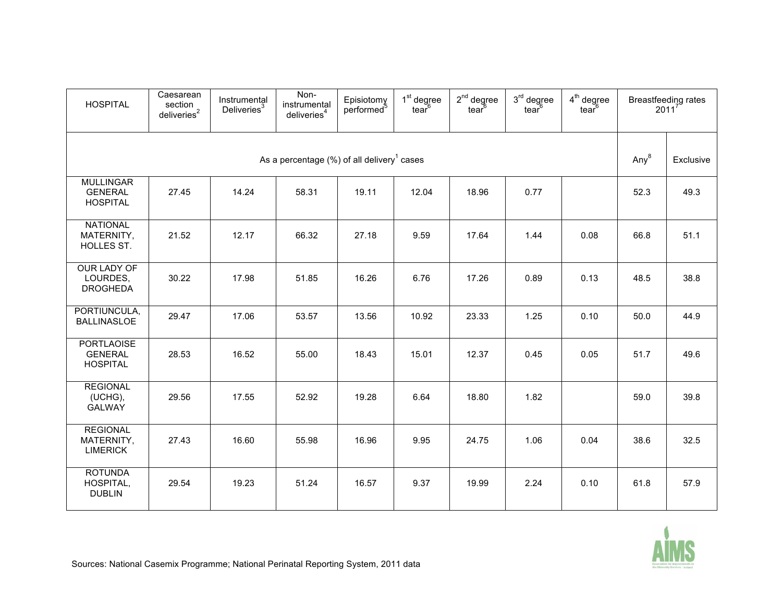| <b>HOSPITAL</b>                                           | Caesarean<br>section<br>deliveries <sup>2</sup> | Instrumental<br>Deliveries <sup>3</sup> | Non-<br>instrumental<br>deliveries <sup>4</sup> | Episiotomy<br>performed <sup>5</sup> | 1 <sup>st</sup> degree<br>tear <sup>6</sup> | $2nd$ degree<br>tear <sup>b</sup> | $3rd$ degree<br>tear <sup>6</sup> | $4th$ degree<br>tear $6$ | Breastfeeding rates<br>$2011^{7}$ |      |
|-----------------------------------------------------------|-------------------------------------------------|-----------------------------------------|-------------------------------------------------|--------------------------------------|---------------------------------------------|-----------------------------------|-----------------------------------|--------------------------|-----------------------------------|------|
| As a percentage $(\%)$ of all delivery <sup>1</sup> cases |                                                 |                                         |                                                 |                                      |                                             |                                   |                                   | Any <sup>8</sup>         | Exclusive                         |      |
| <b>MULLINGAR</b><br><b>GENERAL</b><br><b>HOSPITAL</b>     | 27.45                                           | 14.24                                   | 58.31                                           | 19.11                                | 12.04                                       | 18.96                             | 0.77                              |                          | 52.3                              | 49.3 |
| <b>NATIONAL</b><br>MATERNITY,<br>HOLLES ST.               | 21.52                                           | 12.17                                   | 66.32                                           | 27.18                                | 9.59                                        | 17.64                             | 1.44                              | 0.08                     | 66.8                              | 51.1 |
| OUR LADY OF<br>LOURDES,<br><b>DROGHEDA</b>                | 30.22                                           | 17.98                                   | 51.85                                           | 16.26                                | 6.76                                        | 17.26                             | 0.89                              | 0.13                     | 48.5                              | 38.8 |
| PORTIUNCULA,<br><b>BALLINASLOE</b>                        | 29.47                                           | 17.06                                   | 53.57                                           | 13.56                                | 10.92                                       | 23.33                             | 1.25                              | 0.10                     | 50.0                              | 44.9 |
| <b>PORTLAOISE</b><br><b>GENERAL</b><br><b>HOSPITAL</b>    | 28.53                                           | 16.52                                   | 55.00                                           | 18.43                                | 15.01                                       | 12.37                             | 0.45                              | 0.05                     | 51.7                              | 49.6 |
| <b>REGIONAL</b><br>(UCHG),<br><b>GALWAY</b>               | 29.56                                           | 17.55                                   | 52.92                                           | 19.28                                | 6.64                                        | 18.80                             | 1.82                              |                          | 59.0                              | 39.8 |
| <b>REGIONAL</b><br>MATERNITY,<br><b>LIMERICK</b>          | 27.43                                           | 16.60                                   | 55.98                                           | 16.96                                | 9.95                                        | 24.75                             | 1.06                              | 0.04                     | 38.6                              | 32.5 |
| <b>ROTUNDA</b><br>HOSPITAL,<br><b>DUBLIN</b>              | 29.54                                           | 19.23                                   | 51.24                                           | 16.57                                | 9.37                                        | 19.99                             | 2.24                              | 0.10                     | 61.8                              | 57.9 |

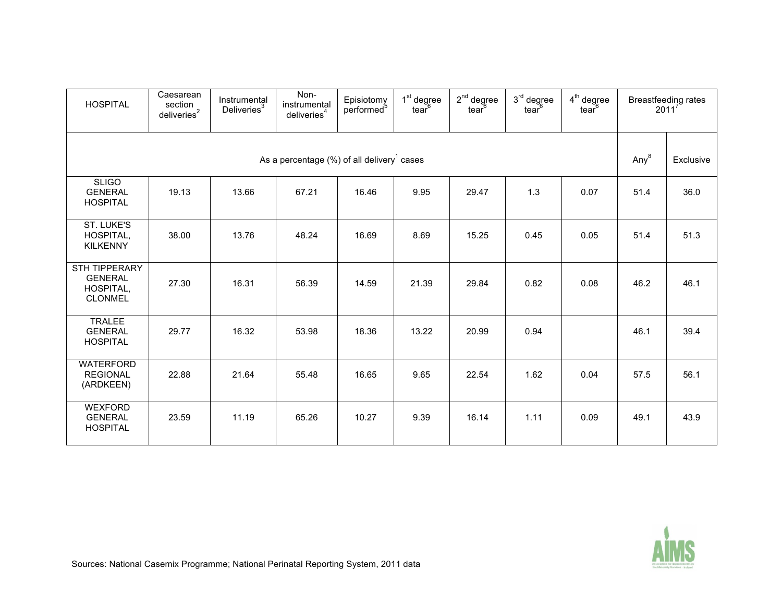| <b>HOSPITAL</b>                                                       | Caesarean<br>section<br>deliveries <sup>2</sup> | Instrumental<br>Deliveries <sup>3</sup> | Non-<br>instrumental<br>deliveries <sup>4</sup> | Episiotomy<br>performed <sup>5</sup> | 1 <sup>st</sup> degree<br>tear $6$ | $2nd$ degree<br>tear $6$ | $3rd$ degree<br>tear <sup>6</sup> | $4th$ degree<br>tear <sup>6</sup> | Breastfeeding rates<br>$2011^7$ |      |
|-----------------------------------------------------------------------|-------------------------------------------------|-----------------------------------------|-------------------------------------------------|--------------------------------------|------------------------------------|--------------------------|-----------------------------------|-----------------------------------|---------------------------------|------|
| As a percentage $(\%)$ of all delivery <sup>1</sup> cases             |                                                 |                                         |                                                 |                                      |                                    |                          |                                   | Any <sup>8</sup>                  | Exclusive                       |      |
| <b>SLIGO</b><br><b>GENERAL</b><br><b>HOSPITAL</b>                     | 19.13                                           | 13.66                                   | 67.21                                           | 16.46                                | 9.95                               | 29.47                    | 1.3                               | 0.07                              | 51.4                            | 36.0 |
| <b>ST. LUKE'S</b><br>HOSPITAL,<br><b>KILKENNY</b>                     | 38.00                                           | 13.76                                   | 48.24                                           | 16.69                                | 8.69                               | 15.25                    | 0.45                              | 0.05                              | 51.4                            | 51.3 |
| <b>STH TIPPERARY</b><br><b>GENERAL</b><br>HOSPITAL,<br><b>CLONMEL</b> | 27.30                                           | 16.31                                   | 56.39                                           | 14.59                                | 21.39                              | 29.84                    | 0.82                              | 0.08                              | 46.2                            | 46.1 |
| <b>TRALEE</b><br><b>GENERAL</b><br><b>HOSPITAL</b>                    | 29.77                                           | 16.32                                   | 53.98                                           | 18.36                                | 13.22                              | 20.99                    | 0.94                              |                                   | 46.1                            | 39.4 |
| <b>WATERFORD</b><br><b>REGIONAL</b><br>(ARDKEEN)                      | 22.88                                           | 21.64                                   | 55.48                                           | 16.65                                | 9.65                               | 22.54                    | 1.62                              | 0.04                              | 57.5                            | 56.1 |
| <b>WEXFORD</b><br><b>GENERAL</b><br><b>HOSPITAL</b>                   | 23.59                                           | 11.19                                   | 65.26                                           | 10.27                                | 9.39                               | 16.14                    | 1.11                              | 0.09                              | 49.1                            | 43.9 |

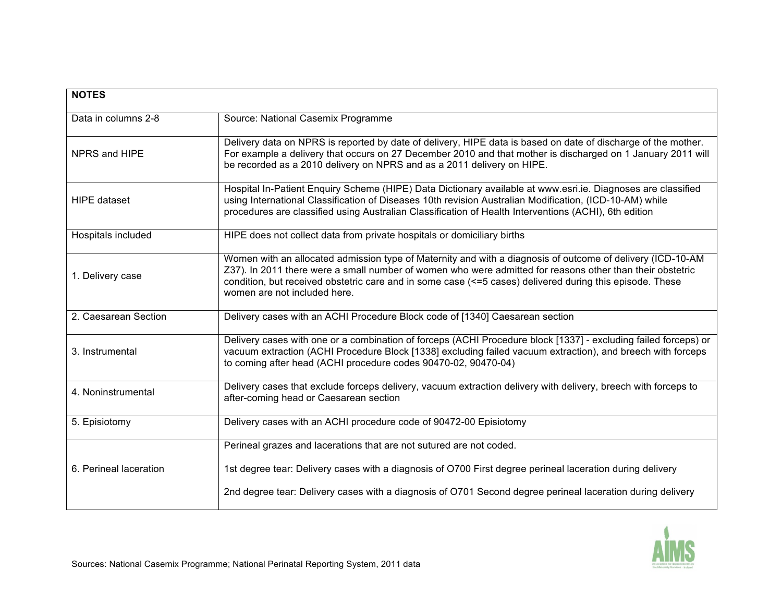| <b>NOTES</b>           |                                                                                                                                                                                                                                                                                                                                                                     |
|------------------------|---------------------------------------------------------------------------------------------------------------------------------------------------------------------------------------------------------------------------------------------------------------------------------------------------------------------------------------------------------------------|
| Data in columns 2-8    | Source: National Casemix Programme                                                                                                                                                                                                                                                                                                                                  |
| NPRS and HIPE          | Delivery data on NPRS is reported by date of delivery, HIPE data is based on date of discharge of the mother.<br>For example a delivery that occurs on 27 December 2010 and that mother is discharged on 1 January 2011 will<br>be recorded as a 2010 delivery on NPRS and as a 2011 delivery on HIPE.                                                              |
| <b>HIPE</b> dataset    | Hospital In-Patient Enquiry Scheme (HIPE) Data Dictionary available at www.esri.ie. Diagnoses are classified<br>using International Classification of Diseases 10th revision Australian Modification, (ICD-10-AM) while<br>procedures are classified using Australian Classification of Health Interventions (ACHI), 6th edition                                    |
| Hospitals included     | HIPE does not collect data from private hospitals or domiciliary births                                                                                                                                                                                                                                                                                             |
| 1. Delivery case       | Women with an allocated admission type of Maternity and with a diagnosis of outcome of delivery (ICD-10-AM<br>Z37). In 2011 there were a small number of women who were admitted for reasons other than their obstetric<br>condition, but received obstetric care and in some case (<=5 cases) delivered during this episode. These<br>women are not included here. |
| 2. Caesarean Section   | Delivery cases with an ACHI Procedure Block code of [1340] Caesarean section                                                                                                                                                                                                                                                                                        |
| 3. Instrumental        | Delivery cases with one or a combination of forceps (ACHI Procedure block [1337] - excluding failed forceps) or<br>vacuum extraction (ACHI Procedure Block [1338] excluding failed vacuum extraction), and breech with forceps<br>to coming after head (ACHI procedure codes 90470-02, 90470-04)                                                                    |
| 4. Noninstrumental     | Delivery cases that exclude forceps delivery, vacuum extraction delivery with delivery, breech with forceps to<br>after-coming head or Caesarean section                                                                                                                                                                                                            |
| 5. Episiotomy          | Delivery cases with an ACHI procedure code of 90472-00 Episiotomy                                                                                                                                                                                                                                                                                                   |
|                        | Perineal grazes and lacerations that are not sutured are not coded.                                                                                                                                                                                                                                                                                                 |
| 6. Perineal laceration | 1st degree tear: Delivery cases with a diagnosis of O700 First degree perineal laceration during delivery                                                                                                                                                                                                                                                           |
|                        | 2nd degree tear: Delivery cases with a diagnosis of O701 Second degree perineal laceration during delivery                                                                                                                                                                                                                                                          |